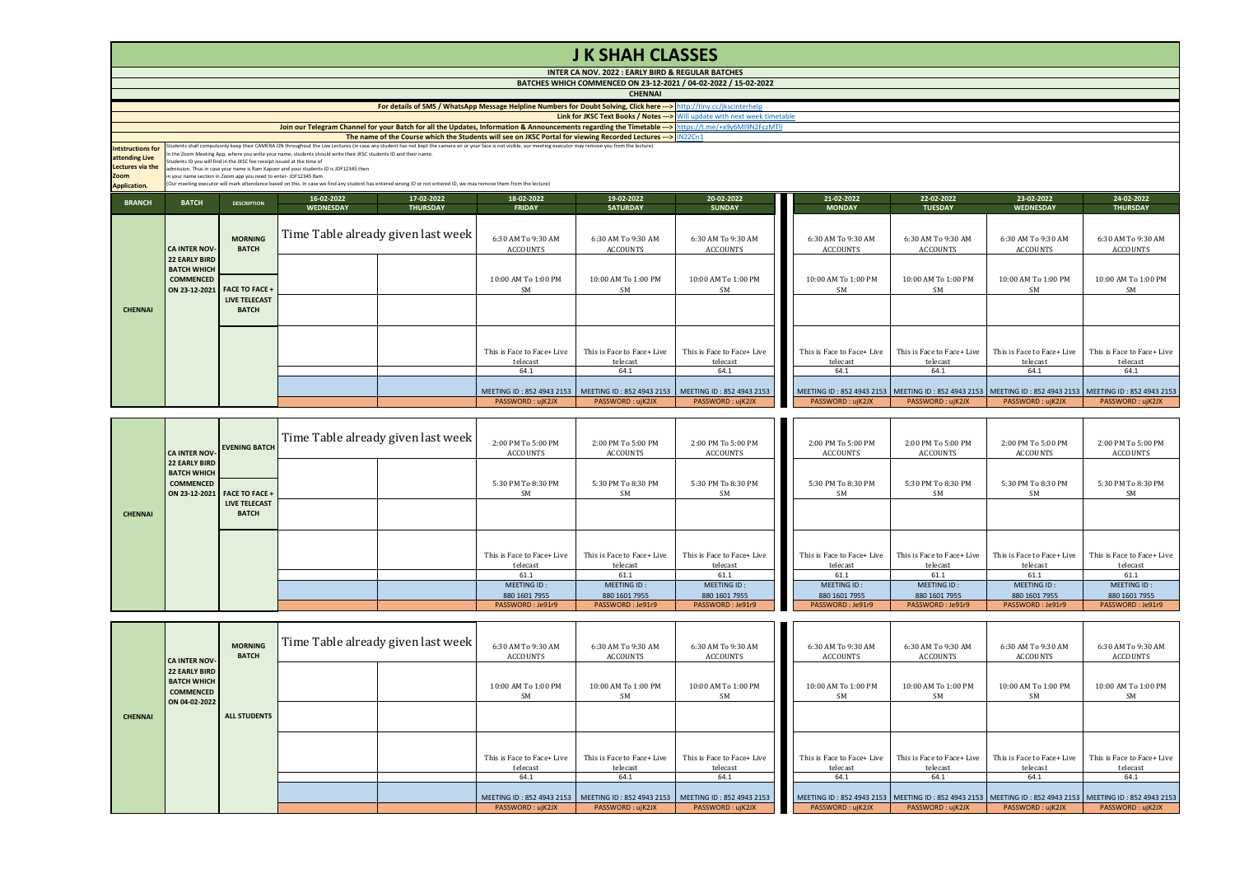|                                                                                                                                                                                                                                                                                                                                                                                                                                                                                                                                                                                                                                                                                                                                                                                                                                                                                                                                                                                                                                                                                                                                  |                                                                |                                      |                                |                                                                                                                        |                                        | <b>JK SHAH CLASSES</b>                                                                |                                        |  |                                        |                                        |                                                                                                               |                                        |
|----------------------------------------------------------------------------------------------------------------------------------------------------------------------------------------------------------------------------------------------------------------------------------------------------------------------------------------------------------------------------------------------------------------------------------------------------------------------------------------------------------------------------------------------------------------------------------------------------------------------------------------------------------------------------------------------------------------------------------------------------------------------------------------------------------------------------------------------------------------------------------------------------------------------------------------------------------------------------------------------------------------------------------------------------------------------------------------------------------------------------------|----------------------------------------------------------------|--------------------------------------|--------------------------------|------------------------------------------------------------------------------------------------------------------------|----------------------------------------|---------------------------------------------------------------------------------------|----------------------------------------|--|----------------------------------------|----------------------------------------|---------------------------------------------------------------------------------------------------------------|----------------------------------------|
|                                                                                                                                                                                                                                                                                                                                                                                                                                                                                                                                                                                                                                                                                                                                                                                                                                                                                                                                                                                                                                                                                                                                  |                                                                |                                      |                                |                                                                                                                        |                                        | INTER CA NOV. 2022 : EARLY BIRD & REGULAR BATCHES                                     |                                        |  |                                        |                                        |                                                                                                               |                                        |
|                                                                                                                                                                                                                                                                                                                                                                                                                                                                                                                                                                                                                                                                                                                                                                                                                                                                                                                                                                                                                                                                                                                                  |                                                                |                                      |                                |                                                                                                                        |                                        | BATCHES WHICH COMMENCED ON 23-12-2021 / 04-02-2022 / 15-02-2022                       |                                        |  |                                        |                                        |                                                                                                               |                                        |
|                                                                                                                                                                                                                                                                                                                                                                                                                                                                                                                                                                                                                                                                                                                                                                                                                                                                                                                                                                                                                                                                                                                                  |                                                                |                                      |                                |                                                                                                                        |                                        | <b>CHENNAI</b>                                                                        |                                        |  |                                        |                                        |                                                                                                               |                                        |
|                                                                                                                                                                                                                                                                                                                                                                                                                                                                                                                                                                                                                                                                                                                                                                                                                                                                                                                                                                                                                                                                                                                                  |                                                                |                                      |                                | For details of SMS / WhatsApp Message Helpline Numbers for Doubt Solving, Click here ---> http://tiny.cc/ikscinterhelp |                                        |                                                                                       |                                        |  |                                        |                                        |                                                                                                               |                                        |
|                                                                                                                                                                                                                                                                                                                                                                                                                                                                                                                                                                                                                                                                                                                                                                                                                                                                                                                                                                                                                                                                                                                                  |                                                                |                                      |                                |                                                                                                                        |                                        | <b>Link for JKSC Text Books / Notes --- &gt; Will update with next week timetable</b> |                                        |  |                                        |                                        |                                                                                                               |                                        |
|                                                                                                                                                                                                                                                                                                                                                                                                                                                                                                                                                                                                                                                                                                                                                                                                                                                                                                                                                                                                                                                                                                                                  |                                                                |                                      |                                |                                                                                                                        |                                        |                                                                                       |                                        |  |                                        |                                        |                                                                                                               |                                        |
| Join our Telegram Channel for your Batch for all the Updates, Information & Announcements regarding the Timetable ---> https://t.me/+x9y6MI9N2FczMTII<br>The name of the Course which the Students will see on JKSC Portal for viewing Recorded Lectures $-$ ->   $N22Cn1$<br>Students shall compulsorily keep their CAMERA ON throughout the Live Lectures (in case any student has not kept the camera on or your face is not visible, our meeting executor may remove you from the lecture)<br><b>Intstructions for</b><br>In the Zoom Meeting App, where you write your name, students should write their JKSC students ID and their name.<br>attending Live<br>Students ID you will find in the JKSC fee receipt issued at the time of<br>Lectures via the<br>admission. Thus in case your name is Ram Kapoor and your students ID is JDF12345 then<br>in your name section in Zoom app you need to enter-JDF12345 Ram<br>Zoom<br>(Our meeting executor will mark attendance based on this. In case we find any student has entered wrong ID or not entered ID, we may remove them from the lecture)<br><b>Application.</b> |                                                                |                                      |                                |                                                                                                                        |                                        |                                                                                       |                                        |  |                                        |                                        |                                                                                                               |                                        |
| <b>BRANCH</b>                                                                                                                                                                                                                                                                                                                                                                                                                                                                                                                                                                                                                                                                                                                                                                                                                                                                                                                                                                                                                                                                                                                    | <b>BATCH</b>                                                   | <b>DESCRIPTION</b>                   | 16-02-2022<br><b>WEDNESDAY</b> | 17-02-2022<br><b>THURSDAY</b>                                                                                          | 18-02-2022<br><b>FRIDAY</b>            | 19-02-2022<br><b>SATURDAY</b>                                                         | 20-02-2022<br><b>SUNDAY</b>            |  | 21-02-2022<br><b>MONDAY</b>            | 22-02-2022<br><b>TUESDAY</b>           | 23-02-2022<br><b>WEDNESDAY</b>                                                                                | 24-02-2022<br><b>THURSDAY</b>          |
|                                                                                                                                                                                                                                                                                                                                                                                                                                                                                                                                                                                                                                                                                                                                                                                                                                                                                                                                                                                                                                                                                                                                  |                                                                |                                      |                                |                                                                                                                        |                                        |                                                                                       |                                        |  |                                        |                                        |                                                                                                               |                                        |
|                                                                                                                                                                                                                                                                                                                                                                                                                                                                                                                                                                                                                                                                                                                                                                                                                                                                                                                                                                                                                                                                                                                                  | <b>CA INTER NOV-</b>                                           | <b>MORNING</b><br><b>BATCH</b>       |                                | Time Table already given last week                                                                                     | 6:30 AM To 9:30 AM<br><b>ACCOUNTS</b>  | 6:30 AM To 9:30 AM<br><b>ACCOUNTS</b>                                                 | 6:30 AM To 9:30 AM<br><b>ACCOUNTS</b>  |  | 6:30 AM To 9:30 AM<br><b>ACCOUNTS</b>  | 6:30 AM To 9:30 AM<br><b>ACCOUNTS</b>  | 6:30 AM To 9:30 AM<br><b>ACCOUNTS</b>                                                                         | 6:30 AM To 9:30 AM<br><b>ACCOUNTS</b>  |
|                                                                                                                                                                                                                                                                                                                                                                                                                                                                                                                                                                                                                                                                                                                                                                                                                                                                                                                                                                                                                                                                                                                                  | <b>22 EARLY BIRD</b><br><b>BATCH WHICH</b><br><b>COMMENCED</b> | ON 23-12-2021 FACE TO FACE +         |                                |                                                                                                                        | 10:00 AM To 1:00 PM<br><b>SM</b>       | 10:00 AM To 1:00 PM<br>SM                                                             | 10:00 AM To 1:00 PM<br><b>SM</b>       |  | 10:00 AM To 1:00 PM<br><b>SM</b>       | 10:00 AM To 1:00 PM<br><b>SM</b>       | 10:00 AM To 1:00 PM<br>SM                                                                                     | 10:00 AM To 1:00 PM<br>SM              |
| <b>CHENNAI</b>                                                                                                                                                                                                                                                                                                                                                                                                                                                                                                                                                                                                                                                                                                                                                                                                                                                                                                                                                                                                                                                                                                                   |                                                                | <b>LIVE TELECAST</b><br><b>BATCH</b> |                                |                                                                                                                        |                                        |                                                                                       |                                        |  |                                        |                                        |                                                                                                               |                                        |
|                                                                                                                                                                                                                                                                                                                                                                                                                                                                                                                                                                                                                                                                                                                                                                                                                                                                                                                                                                                                                                                                                                                                  |                                                                |                                      |                                |                                                                                                                        | This is Face to Face+ Live<br>telecast | This is Face to Face+ Live<br>telecast                                                | This is Face to Face+ Live<br>telecast |  | This is Face to Face+ Live<br>telecast | This is Face to Face+ Live<br>telecast | This is Face to Face+ Live<br>telecast                                                                        | This is Face to Face+ Live<br>telecast |
|                                                                                                                                                                                                                                                                                                                                                                                                                                                                                                                                                                                                                                                                                                                                                                                                                                                                                                                                                                                                                                                                                                                                  |                                                                |                                      |                                |                                                                                                                        | 64.1                                   | 64.1                                                                                  | 64.1                                   |  | 64.1                                   | 64.1                                   | 64.1                                                                                                          | 64.1                                   |
|                                                                                                                                                                                                                                                                                                                                                                                                                                                                                                                                                                                                                                                                                                                                                                                                                                                                                                                                                                                                                                                                                                                                  |                                                                |                                      |                                |                                                                                                                        | MEETING ID: 852 4943 2153              | MEETING ID: 852 4943 2153 MEETING ID: 852 4943 2153                                   |                                        |  |                                        |                                        | MEETING ID: 852 4943 2153   MEETING ID: 852 4943 2153   MEETING ID: 852 4943 2153   MEETING ID: 852 4943 2153 |                                        |
|                                                                                                                                                                                                                                                                                                                                                                                                                                                                                                                                                                                                                                                                                                                                                                                                                                                                                                                                                                                                                                                                                                                                  |                                                                |                                      |                                |                                                                                                                        | PASSWORD: ujK2JX                       | PASSWORD: uiK2JX                                                                      | PASSWORD: uiK2JX                       |  | PASSWORD: uiK2JX                       | PASSWORD: uiK2JX                       | PASSWORD: uiK2JX                                                                                              | PASSWORD: uiK2JX                       |
|                                                                                                                                                                                                                                                                                                                                                                                                                                                                                                                                                                                                                                                                                                                                                                                                                                                                                                                                                                                                                                                                                                                                  |                                                                |                                      |                                |                                                                                                                        |                                        |                                                                                       |                                        |  |                                        |                                        |                                                                                                               |                                        |

|                | <b>CA INTER NOV-</b><br><b>22 EARLY BIRD</b> | <b>EVENING BATCH</b>                 | Time Table already given last week | 2:00 PM To 5:00 PM<br><b>ACCOUNTS</b>  | 2:00 PM To 5:00 PM<br><b>ACCOUNTS</b>  | 2:00 PM To 5:00 PM<br><b>ACCOUNTS</b>  | 2:00 PM To 5:00 PM<br><b>ACCOUNTS</b>  | 2:00 PM To 5:00 PM<br><b>ACCOUNTS</b>  | 2:00 PM To 5:00 PM<br><b>ACCOUNTS</b>  | 2:00 PM To 5:00 PM<br><b>ACCOUNTS</b>  |
|----------------|----------------------------------------------|--------------------------------------|------------------------------------|----------------------------------------|----------------------------------------|----------------------------------------|----------------------------------------|----------------------------------------|----------------------------------------|----------------------------------------|
|                | <b>BATCH WHICH</b>                           |                                      |                                    |                                        |                                        |                                        |                                        |                                        |                                        |                                        |
|                | <b>COMMENCED</b>                             | ON 23-12-2021 FACE TO FACE +         |                                    | 5:30 PM To 8:30 PM<br>SM               | 5:30 PM To 8:30 PM<br>SM.              | 5:30 PM To 8:30 PM<br>SM               | 5:30 PM To 8:30 PM<br>SM.              | 5:30 PM To 8:30 PM<br>SM               | 5:30 PM To 8:30 PM<br>SM               | 5:30 PM To 8:30 PM<br>SM               |
| <b>CHENNAI</b> |                                              | <b>LIVE TELECAST</b><br><b>BATCH</b> |                                    |                                        |                                        |                                        |                                        |                                        |                                        |                                        |
|                |                                              |                                      |                                    |                                        |                                        |                                        |                                        |                                        |                                        |                                        |
|                |                                              |                                      |                                    |                                        |                                        |                                        |                                        |                                        |                                        |                                        |
|                |                                              |                                      |                                    | This is Face to Face+ Live<br>telecast | This is Face to Face+ Live<br>telecast | This is Face to Face+ Live<br>telecast | This is Face to Face+ Live<br>telecast | This is Face to Face+ Live<br>telecast | This is Face to Face+ Live<br>telecast | This is Face to Face+ Live<br>telecast |
|                |                                              |                                      |                                    | 61.1                                   | 61.1                                   | 61.1                                   | 61.1                                   | 61.1                                   | 61.1                                   | 61.1                                   |
|                |                                              |                                      |                                    | MEETING ID:                            | MEETING ID:                            | MEETING ID:                            | MEETING ID:                            | MEETING ID:                            | MEETING ID:                            | MEETING ID:                            |
|                |                                              |                                      |                                    | 880 1601 7955                          | 880 1601 7955                          | 880 1601 7955                          | 880 1601 7955                          | 880 1601 7955                          | 880 1601 7955                          | 880 1601 7955                          |
|                |                                              |                                      |                                    | PASSWORD: Je91r9                       | PASSWORD: Je91r9                       | PASSWORD: Je91r9                       | PASSWORD: Je91r9                       | PASSWORD: Je91r9                       | PASSWORD: Je91r9                       | PASSWORD: Je91r9                       |

|                | <b>CA INTER NOV-</b>                                                            | <b>MORNING</b><br><b>BATCH</b> | Time Table already given last week | 6:30 AM To 9:30 AM<br><b>ACCOUNTS</b> | 6:30 AM To 9:30 AM<br><b>ACCOUNTS</b> | 6:30 AM To 9:30 AM<br>ACCOUNTS                                                    | 6:30 AM To 9:30 AM<br>ACCOUNTS | 6:30 AM To 9:30 AM<br><b>ACCOUNTS</b>                                                                         | 6:30 AM To 9:30 AM<br>ACCOUNTS | 6:30 AM To 9:30 AM<br>ACCOUNTS |
|----------------|---------------------------------------------------------------------------------|--------------------------------|------------------------------------|---------------------------------------|---------------------------------------|-----------------------------------------------------------------------------------|--------------------------------|---------------------------------------------------------------------------------------------------------------|--------------------------------|--------------------------------|
|                | <b>22 EARLY BIRD</b><br><b>BATCH WHICH</b><br><b>COMMENCED</b><br>ON 04-02-2022 |                                |                                    | 10:00 AM To 1:00 PM<br>SM             | 10:00 AM To 1:00 PM<br>SM             | 10:00 AM To 1:00 PM<br>SM                                                         | 10:00 AM To 1:00 PM<br>SM      | 10:00 AM To 1:00 PM<br>SM                                                                                     | 10:00 AM To 1:00 PM<br>SM      | 10:00 AM To 1:00 PM<br>SM      |
| <b>CHENNAI</b> |                                                                                 | <b>ALL STUDENTS</b>            |                                    |                                       |                                       |                                                                                   |                                |                                                                                                               |                                |                                |
|                |                                                                                 |                                |                                    | This is Face to Face+ Live            | This is Face to Face+ Live            | This is Face to Face+ Live                                                        | This is Face to Face+ Live     | This is Face to Face+ Live                                                                                    | This is Face to Face+ Live     | This is Face to Face+ Live     |
|                |                                                                                 |                                |                                    | telecast<br>64.1                      | telecast<br>64.1                      | telecast<br>64.1                                                                  | telecast<br>64.1               | telecast<br>64.1                                                                                              | telecast<br>64.1               | telecast<br>64.1               |
|                |                                                                                 |                                |                                    |                                       |                                       | MEETING ID: 852 4943 2153   MEETING ID: 852 4943 2153   MEETING ID: 852 4943 2153 |                                | MEETING ID: 852 4943 2153   MEETING ID: 852 4943 2153   MEETING ID: 852 4943 2153   MEETING ID: 852 4943 2153 |                                |                                |
|                |                                                                                 |                                |                                    | PASSWORD: ujK2JX                      | PASSWORD: ujK2JX                      | PASSWORD: ujK2JX                                                                  | PASSWORD: ujK2JX               | PASSWORD: uiK2JX                                                                                              | PASSWORD: ujK2JX               | PASSWORD: ujK2JX               |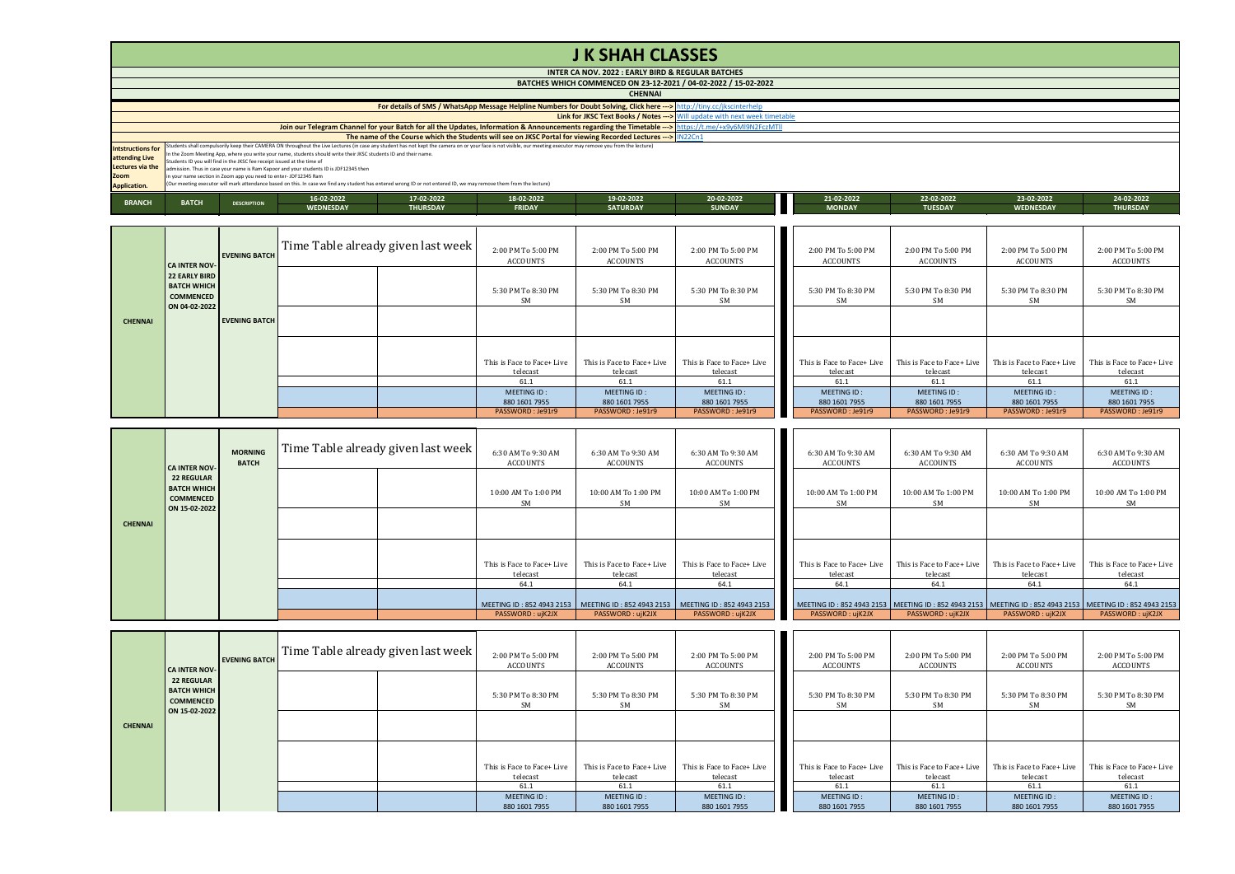## **J K SHAH CLASSES**

|                          | INTER CA NOV. 2022 : EARLY BIRD & REGULAR BATCHES                                                                                                                                                                |                                                                         |                                                                                                                                                                    |                 |               |                 |               |  |               |                |                  |                 |  |
|--------------------------|------------------------------------------------------------------------------------------------------------------------------------------------------------------------------------------------------------------|-------------------------------------------------------------------------|--------------------------------------------------------------------------------------------------------------------------------------------------------------------|-----------------|---------------|-----------------|---------------|--|---------------|----------------|------------------|-----------------|--|
|                          | BATCHES WHICH COMMENCED ON 23-12-2021 / 04-02-2022 / 15-02-2022                                                                                                                                                  |                                                                         |                                                                                                                                                                    |                 |               |                 |               |  |               |                |                  |                 |  |
|                          | <b>CHENNAI</b>                                                                                                                                                                                                   |                                                                         |                                                                                                                                                                    |                 |               |                 |               |  |               |                |                  |                 |  |
|                          | For details of SMS / WhatsApp Message Helpline Numbers for Doubt Solving, Click here ---> http://tiny.cc/jkscinterhelp                                                                                           |                                                                         |                                                                                                                                                                    |                 |               |                 |               |  |               |                |                  |                 |  |
|                          | <b>Link for JKSC Text Books / Notes ---&gt;</b> Will update with next week timetable                                                                                                                             |                                                                         |                                                                                                                                                                    |                 |               |                 |               |  |               |                |                  |                 |  |
|                          | Join our Telegram Channel for your Batch for all the Updates, Information & Announcements regarding the Timetable ---> https://t.me/+x9y6MI9N2FczMTII                                                            |                                                                         |                                                                                                                                                                    |                 |               |                 |               |  |               |                |                  |                 |  |
|                          | The name of the Course which the Students will see on JKSC Portal for viewing Recorded Lectures --- > IN22Cn1                                                                                                    |                                                                         |                                                                                                                                                                    |                 |               |                 |               |  |               |                |                  |                 |  |
| <b>Intstructions for</b> | Students shall compulsorily keep their CAMERA ON throughout the Live Lectures (in case any student has not kept the camera on or your face is not visible, our meeting executor may remove you from the lecture) |                                                                         |                                                                                                                                                                    |                 |               |                 |               |  |               |                |                  |                 |  |
| attending Live           |                                                                                                                                                                                                                  |                                                                         | In the Zoom Meeting App, where you write your name, students should write their JKSC students ID and their name.                                                   |                 |               |                 |               |  |               |                |                  |                 |  |
| Lectures via the         |                                                                                                                                                                                                                  | Students ID you will find in the JKSC fee receipt issued at the time of | admission. Thus in case your name is Ram Kapoor and your students ID is JDF12345 then                                                                              |                 |               |                 |               |  |               |                |                  |                 |  |
| Zoom                     |                                                                                                                                                                                                                  | in your name section in Zoom app you need to enter-JDF12345 Ram         |                                                                                                                                                                    |                 |               |                 |               |  |               |                |                  |                 |  |
| <b>Application.</b>      |                                                                                                                                                                                                                  |                                                                         | (Our meeting executor will mark attendance based on this. In case we find any student has entered wrong ID or not entered ID, we may remove them from the lecture) |                 |               |                 |               |  |               |                |                  |                 |  |
|                          |                                                                                                                                                                                                                  |                                                                         |                                                                                                                                                                    |                 |               |                 |               |  |               |                |                  |                 |  |
| <b>BRANCH</b>            | <b>BATCH</b>                                                                                                                                                                                                     | <b>DESCRIPTION</b>                                                      | 16-02-2022                                                                                                                                                         | 17-02-2022      | 18-02-2022    | 19-02-2022      | 20-02-2022    |  | 21-02-2022    | 22-02-2022     | 23-02-2022       | 24-02-2022      |  |
|                          |                                                                                                                                                                                                                  |                                                                         | <b>WEDNESDAY</b>                                                                                                                                                   | <b>THURSDAY</b> | <b>FRIDAY</b> | <b>SATURDAY</b> | <b>SUNDAY</b> |  | <b>MONDAY</b> | <b>TUESDAY</b> | <b>WEDNESDAY</b> | <b>THURSDAY</b> |  |

|                | <b>CA INTER NOV-</b>                                                            | <b>EVENING BATCH</b> | Time Table already given last week | 2:00 PM To 5:00 PM<br><b>ACCOUNTS</b> | 2:00 PM To 5:00 PM<br><b>ACCOUNTS</b> | 2:00 PM To 5:00 PM<br><b>ACCOUNTS</b> | 2:00 PM To 5:00 PM<br>ACCOUNTS  | 2:00 PM To 5:00 PM<br>ACCOUNTS | 2:00 PM To 5:00 PM<br><b>ACCOUNTS</b> | 2:00 PM To 5:00 PM<br>ACCOUNTS  |
|----------------|---------------------------------------------------------------------------------|----------------------|------------------------------------|---------------------------------------|---------------------------------------|---------------------------------------|---------------------------------|--------------------------------|---------------------------------------|---------------------------------|
|                | <b>22 EARLY BIRD</b><br><b>BATCH WHICH</b><br><b>COMMENCED</b><br>ON 04-02-2022 |                      |                                    | 5:30 PM To 8:30 PM<br>SM              | 5:30 PM To 8:30 PM<br>SM              | 5:30 PM To 8:30 PM<br>SM              | 5:30 PM To 8:30 PM<br><b>SM</b> | 5:30 PM To 8:30 PM<br>SM       | 5:30 PM To 8:30 PM<br><b>SM</b>       | 5:30 PM To 8:30 PM<br><b>SM</b> |
| <b>CHENNAI</b> |                                                                                 | <b>EVENING BATCH</b> |                                    |                                       |                                       |                                       |                                 |                                |                                       |                                 |
|                |                                                                                 |                      |                                    | This is Face to Face+ Live            | This is Face to Face+ Live            | This is Face to Face+ Live            | This is Face to Face+ Live      | This is Face to Face+ Live     | This is Face to Face+ Live            | This is Face to Face+ Live      |
|                |                                                                                 |                      |                                    | telecast                              | telecast                              | telecast                              | telecast                        | telecast                       | telecast                              | telecast                        |
|                |                                                                                 |                      |                                    | 61.1<br>MEETING ID:                   | 61.1<br>MEETING ID:                   | 61.1<br>MEETING ID:                   | 61.1<br>MEETING ID:             | 61.1<br>MEETING ID:            | 61.1<br>MEETING ID:                   | 61.1<br>MEETING ID:             |
|                |                                                                                 |                      |                                    | 880 1601 7955                         | 880 1601 7955                         | 880 1601 7955                         | 880 1601 7955                   | 880 1601 7955                  | 880 1601 7955                         | 880 1601 7955                   |
|                |                                                                                 |                      |                                    | PASSWORD: Je91r9                      | PASSWORD: Je91r9                      | PASSWORD: Je91r9                      | PASSWORD: Je91r9                | PASSWORD: Je91r9               | PASSWORD: Je91r9                      | PASSWORD: Je91r9                |

|                | <b>CA INTER NOV-</b>                                                         | <b>MORNING</b><br><b>BATCH</b> | Time Table already given last week | 6:30 AM To 9:30 AM<br><b>ACCOUNTS</b>                                             | 6:30 AM To 9:30 AM<br><b>ACCOUNTS</b> | 6:30 AM To 9:30 AM<br><b>ACCOUNTS</b> | 6:30 AM To 9:30 AM<br>ACCOUNTS                                                                                | 6:30 AM To 9:30 AM<br><b>ACCOUNTS</b> | 6:30 AM To 9:30 AM<br><b>ACCOUNTS</b> | 6:30 AM To 9:30 AM<br>ACCOUNTS |
|----------------|------------------------------------------------------------------------------|--------------------------------|------------------------------------|-----------------------------------------------------------------------------------|---------------------------------------|---------------------------------------|---------------------------------------------------------------------------------------------------------------|---------------------------------------|---------------------------------------|--------------------------------|
|                | <b>22 REGULAR</b><br><b>BATCH WHICH</b><br><b>COMMENCED</b><br>ON 15-02-2022 |                                |                                    | 10:00 AM To 1:00 PM<br>SM                                                         | 10:00 AM To 1:00 PM<br>SM             | 10:00 AM To 1:00 PM<br>SM             | 10:00 AM To 1:00 PM<br>SM                                                                                     | 10:00 AM To 1:00 PM<br>SM             | 10:00 AM To 1:00 PM<br><b>SM</b>      | 10:00 AM To 1:00 PM<br>SM      |
| <b>CHENNAI</b> |                                                                              |                                |                                    |                                                                                   |                                       |                                       |                                                                                                               |                                       |                                       |                                |
|                |                                                                              |                                |                                    | This is Face to Face+ Live                                                        | This is Face to Face+ Live            | This is Face to Face+ Live            | This is Face to Face+ Live                                                                                    | This is Face to Face+ Live            | This is Face to Face+ Live            | This is Face to Face+ Live     |
|                |                                                                              |                                |                                    | telecast                                                                          | telecast                              | telecast                              | telecast                                                                                                      | telecast                              | telecast                              | telecast                       |
|                |                                                                              |                                |                                    | 64.1                                                                              | 64.1                                  | 64.1                                  | 64.1                                                                                                          | 64.1                                  | 64.1                                  | 64.1                           |
|                |                                                                              |                                |                                    | MEETING ID: 852 4943 2153   MEETING ID: 852 4943 2153   MEETING ID: 852 4943 2153 |                                       |                                       | MEETING ID: 852 4943 2153   MEETING ID: 852 4943 2153   MEETING ID: 852 4943 2153   MEETING ID: 852 4943 2153 |                                       |                                       |                                |
|                |                                                                              |                                |                                    | PASSWORD: ujK2JX                                                                  | PASSWORD: ujK2JX                      | PASSWORD: ujK2JX                      | PASSWORD: ujK2JX                                                                                              | PASSWORD: ujK2JX                      | PASSWORD: ujK2JX                      | PASSWORD: ujK2JX               |

|                | <b>CA INTER NOV-</b>                                                         | <b>EVENING BATCH</b> | Time Table already given last week | 2:00 PM To 5:00 PM<br>ACCOUNTS         | 2:00 PM To 5:00 PM<br><b>ACCOUNTS</b>  | 2:00 PM To 5:00 PM<br><b>ACCOUNTS</b>  | 2:00 PM To 5:00 PM<br>ACCOUNTS         | 2:00 PM To 5:00 PM<br><b>ACCOUNTS</b>  | 2:00 PM To 5:00 PM<br>ACCOUNTS         | 2:00 PM To 5:00 PM<br>ACCOUNTS         |
|----------------|------------------------------------------------------------------------------|----------------------|------------------------------------|----------------------------------------|----------------------------------------|----------------------------------------|----------------------------------------|----------------------------------------|----------------------------------------|----------------------------------------|
|                | <b>22 REGULAR</b><br><b>BATCH WHICH</b><br><b>COMMENCED</b><br>ON 15-02-2022 |                      |                                    | 5:30 PM To 8:30 PM<br>SM               | 5:30 PM To 8:30 PM<br>SM               | 5:30 PM To 8:30 PM<br><b>SM</b>        | 5:30 PM To 8:30 PM<br>SM               | 5:30 PM To 8:30 PM<br>SM               | 5:30 PM To 8:30 PM<br>SM.              | 5:30 PM To 8:30 PM<br>SM               |
| <b>CHENNAI</b> |                                                                              |                      |                                    |                                        |                                        |                                        |                                        |                                        |                                        |                                        |
|                |                                                                              |                      |                                    | This is Face to Face+ Live<br>telecast | This is Face to Face+ Live<br>telecast | This is Face to Face+ Live<br>telecast | This is Face to Face+ Live<br>telecast | This is Face to Face+ Live<br>telecast | This is Face to Face+ Live<br>telecast | This is Face to Face+ Live<br>telecast |
|                |                                                                              |                      |                                    | 61.1                                   | 61.1                                   | 61.1                                   | 61.1                                   | 61.1                                   | 61.1                                   | 61.1                                   |
|                |                                                                              |                      |                                    | MEETING ID:<br>880 1601 7955           | MEETING ID:<br>880 1601 7955           | MEETING ID:<br>880 1601 7955           | MEETING ID:<br>880 1601 7955           | MEETING ID:<br>880 1601 7955           | MEETING ID:<br>880 1601 7955           | MEETING ID:<br>880 1601 7955           |